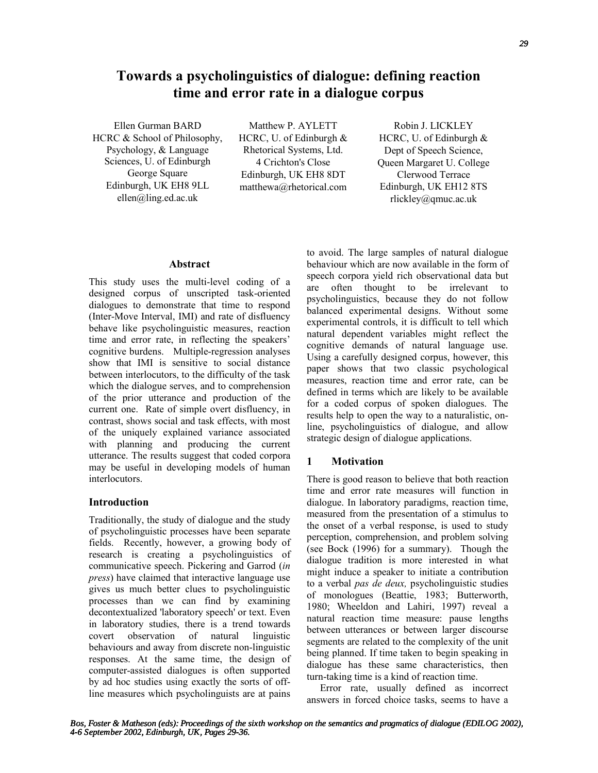# **Towards a psycholinguistics of dialogue: defining reaction time and error rate in a dialogue corpus**

Ellen Gurman BARD HCRC & School of Philosophy, Psychology, & Language Sciences, U. of Edinburgh George Square Edinburgh, UK EH8 9LL ellen@ling.ed.ac.uk

Matthew P. AYLETT HCRC, U. of Edinburgh & Rhetorical Systems, Ltd. 4 Crichton's Close Edinburgh, UK EH8 8DT matthewa@rhetorical.com

Robin J. LICKLEY HCRC, U. of Edinburgh & Dept of Speech Science, Queen Margaret U. College Clerwood Terrace Edinburgh, UK EH12 8TS rlickley@qmuc.ac.uk

## **Abstract**

This study uses the multi-level coding of a designed corpus of unscripted task-oriented dialogues to demonstrate that time to respond (Inter-Move Interval, IMI) and rate of disfluency behave like psycholinguistic measures, reaction time and error rate, in reflecting the speakers' cognitive burdens. Multiple-regression analyses show that IMI is sensitive to social distance between interlocutors, to the difficulty of the task which the dialogue serves, and to comprehension of the prior utterance and production of the current one. Rate of simple overt disfluency, in contrast, shows social and task effects, with most of the uniquely explained variance associated with planning and producing the current utterance. The results suggest that coded corpora may be useful in developing models of human interlocutors.

# **Introduction**

Traditionally, the study of dialogue and the study of psycholinguistic processes have been separate fields. Recently, however, a growing body of research is creating a psycholinguistics of communicative speech. Pickering and Garrod (*in press*) have claimed that interactive language use gives us much better clues to psycholinguistic processes than we can find by examining decontextualized 'laboratory speech' or text. Even in laboratory studies, there is a trend towards covert observation of natural linguistic behaviours and away from discrete non-linguistic responses. At the same time, the design of computer-assisted dialogues is often supported by ad hoc studies using exactly the sorts of offline measures which psycholinguists are at pains

to avoid. The large samples of natural dialogue behaviour which are now available in the form of speech corpora yield rich observational data but are often thought to be irrelevant to psycholinguistics, because they do not follow balanced experimental designs. Without some experimental controls, it is difficult to tell which natural dependent variables might reflect the cognitive demands of natural language use. Using a carefully designed corpus, however, this paper shows that two classic psychological measures, reaction time and error rate, can be defined in terms which are likely to be available for a coded corpus of spoken dialogues. The results help to open the way to a naturalistic, online, psycholinguistics of dialogue, and allow strategic design of dialogue applications.

# **1 Motivation**

There is good reason to believe that both reaction time and error rate measures will function in dialogue. In laboratory paradigms, reaction time, measured from the presentation of a stimulus to the onset of a verbal response, is used to study perception, comprehension, and problem solving (see Bock (1996) for a summary). Though the dialogue tradition is more interested in what might induce a speaker to initiate a contribution to a verbal *pas de deux,* psycholinguistic studies of monologues (Beattie, 1983; Butterworth, 1980; Wheeldon and Lahiri, 1997) reveal a natural reaction time measure: pause lengths between utterances or between larger discourse segments are related to the complexity of the unit being planned. If time taken to begin speaking in dialogue has these same characteristics, then turn-taking time is a kind of reaction time.

Error rate, usually defined as incorrect answers in forced choice tasks, seems to have a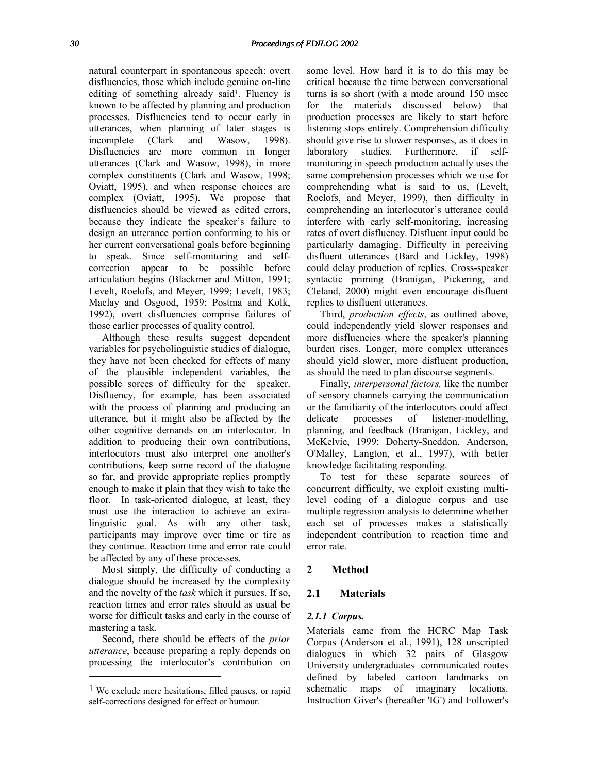natural counterpart in spontaneous speech: overt disfluencies, those which include genuine on-line editing of something already said<sup>1</sup>. Fluency is known to be affected by planning and production processes. Disfluencies tend to occur early in utterances, when planning of later stages is incomplete (Clark and Wasow, 1998). Disfluencies are more common in longer utterances (Clark and Wasow, 1998), in more complex constituents (Clark and Wasow, 1998; Oviatt, 1995), and when response choices are complex (Oviatt, 1995). We propose that disfluencies should be viewed as edited errors, because they indicate the speaker's failure to design an utterance portion conforming to his or her current conversational goals before beginning to speak. Since self-monitoring and selfcorrection appear to be possible before articulation begins (Blackmer and Mitton, 1991; Levelt, Roelofs, and Meyer, 1999; Levelt, 1983; Maclay and Osgood, 1959; Postma and Kolk, 1992), overt disfluencies comprise failures of those earlier processes of quality control.

Although these results suggest dependent variables for psycholinguistic studies of dialogue, they have not been checked for effects of many of the plausible independent variables, the possible sorces of difficulty for the speaker. Disfluency, for example, has been associated with the process of planning and producing an utterance, but it might also be affected by the other cognitive demands on an interlocutor. In addition to producing their own contributions, interlocutors must also interpret one another's contributions, keep some record of the dialogue so far, and provide appropriate replies promptly enough to make it plain that they wish to take the floor. In task-oriented dialogue, at least, they must use the interaction to achieve an extralinguistic goal. As with any other task, participants may improve over time or tire as they continue. Reaction time and error rate could be affected by any of these processes.

Most simply, the difficulty of conducting a dialogue should be increased by the complexity and the novelty of the *task* which it pursues. If so, reaction times and error rates should as usual be worse for difficult tasks and early in the course of mastering a task.

Second, there should be effects of the *prior utterance*, because preparing a reply depends on processing the interlocutor's contribution on

-

some level. How hard it is to do this may be critical because the time between conversational turns is so short (with a mode around 150 msec for the materials discussed below) that production processes are likely to start before listening stops entirely. Comprehension difficulty should give rise to slower responses, as it does in laboratory studies. Furthermore, if selfmonitoring in speech production actually uses the same comprehension processes which we use for comprehending what is said to us, (Levelt, Roelofs, and Meyer, 1999), then difficulty in comprehending an interlocutor's utterance could interfere with early self-monitoring, increasing rates of overt disfluency. Disfluent input could be particularly damaging. Difficulty in perceiving disfluent utterances (Bard and Lickley, 1998) could delay production of replies. Cross-speaker syntactic priming (Branigan, Pickering, and Cleland, 2000) might even encourage disfluent replies to disfluent utterances.

Third, *production effects*, as outlined above, could independently yield slower responses and more disfluencies where the speaker's planning burden rises. Longer, more complex utterances should yield slower, more disfluent production, as should the need to plan discourse segments.

Finally*, interpersonal factors,* like the number of sensory channels carrying the communication or the familiarity of the interlocutors could affect delicate processes of listener-modelling, planning, and feedback (Branigan, Lickley, and McKelvie, 1999; Doherty-Sneddon, Anderson, O'Malley, Langton, et al., 1997), with better knowledge facilitating responding.

To test for these separate sources of concurrent difficulty, we exploit existing multilevel coding of a dialogue corpus and use multiple regression analysis to determine whether each set of processes makes a statistically independent contribution to reaction time and error rate.

### **2 Method**

### **2.1 Materials**

#### *2.1.1 Corpus.*

Materials came from the HCRC Map Task Corpus (Anderson et al., 1991), 128 unscripted dialogues in which 32 pairs of Glasgow University undergraduates communicated routes defined by labeled cartoon landmarks on schematic maps of imaginary locations. Instruction Giver's (hereafter 'IG') and Follower's

<sup>&</sup>lt;sup>1</sup> We exclude mere hesitations, filled pauses, or rapid self-corrections designed for effect or humour.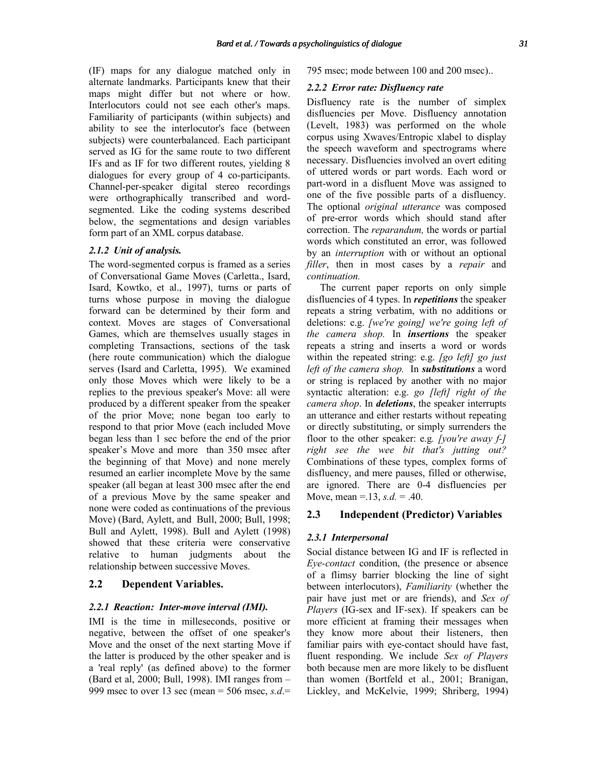(IF) maps for any dialogue matched only in alternate landmarks. Participants knew that their maps might differ but not where or how. Interlocutors could not see each other's maps. Familiarity of participants (within subjects) and ability to see the interlocutor's face (between subjects) were counterbalanced. Each participant served as IG for the same route to two different IFs and as IF for two different routes, yielding 8 dialogues for every group of 4 co-participants. Channel-per-speaker digital stereo recordings were orthographically transcribed and wordsegmented. Like the coding systems described below, the segmentations and design variables form part of an XML corpus database.

### *2.1.2 Unit of analysis.*

The word-segmented corpus is framed as a series of Conversational Game Moves (Carletta., Isard, Isard, Kowtko, et al., 1997), turns or parts of turns whose purpose in moving the dialogue forward can be determined by their form and context. Moves are stages of Conversational Games, which are themselves usually stages in completing Transactions, sections of the task (here route communication) which the dialogue serves (Isard and Carletta, 1995). We examined only those Moves which were likely to be a replies to the previous speaker's Move: all were produced by a different speaker from the speaker of the prior Move; none began too early to respond to that prior Move (each included Move began less than 1 sec before the end of the prior speaker's Move and more than 350 msec after the beginning of that Move) and none merely resumed an earlier incomplete Move by the same speaker (all began at least 300 msec after the end of a previous Move by the same speaker and none were coded as continuations of the previous Move) (Bard, Aylett, and Bull, 2000; Bull, 1998; Bull and Aylett, 1998). Bull and Aylett (1998) showed that these criteria were conservative relative to human judgments about the relationship between successive Moves.

## **2.2 Dependent Variables.**

#### *2.2.1 Reaction: Inter-move interval (IMI).*

IMI is the time in milleseconds, positive or negative, between the offset of one speaker's Move and the onset of the next starting Move if the latter is produced by the other speaker and is a 'real reply' (as defined above) to the former (Bard et al, 2000; Bull, 1998). IMI ranges from – 999 msec to over 13 sec (mean =  $506$  msec,  $s.d$ .

795 msec; mode between 100 and 200 msec)..

#### *2.2.2 Error rate: Disfluency rate*

Disfluency rate is the number of simplex disfluencies per Move. Disfluency annotation (Levelt, 1983) was performed on the whole corpus using Xwaves/Entropic xlabel to display the speech waveform and spectrograms where necessary. Disfluencies involved an overt editing of uttered words or part words. Each word or part-word in a disfluent Move was assigned to one of the five possible parts of a disfluency. The optional *original utterance* was composed of pre-error words which should stand after correction. The *reparandum,* the words or partial words which constituted an error, was followed by an *interruption* with or without an optional *filler*, then in most cases by a *repair* and *continuation.*

The current paper reports on only simple disfluencies of 4 types. In *repetitions* the speaker repeats a string verbatim, with no additions or deletions: e.g. *[we're going] we're going left of the camera shop.* In *insertions* the speaker repeats a string and inserts a word or words within the repeated string: e.g. *[go left] go just left of the camera shop.* In *substitutions* a word or string is replaced by another with no major syntactic alteration: e.g. *go [left] right of the camera shop*. In *deletions*, the speaker interrupts an utterance and either restarts without repeating or directly substituting, or simply surrenders the floor to the other speaker: e.g*. [you're away f-] right see the wee bit that's jutting out?*  Combinations of these types, complex forms of disfluency, and mere pauses, filled or otherwise, are ignored. There are 0-4 disfluencies per Move, mean =  $.13$ , *s.d.* =  $.40$ .

# **2.3 Independent (Predictor) Variables**

### *2.3.1 Interpersonal*

Social distance between IG and IF is reflected in *Eye-contact* condition, (the presence or absence of a flimsy barrier blocking the line of sight between interlocutors), *Familiarity* (whether the pair have just met or are friends), and *Sex of Players* (IG-sex and IF-sex). If speakers can be more efficient at framing their messages when they know more about their listeners, then familiar pairs with eye-contact should have fast, fluent responding. We include *Sex of Players* both because men are more likely to be disfluent than women (Bortfeld et al., 2001; Branigan, Lickley, and McKelvie, 1999; Shriberg, 1994)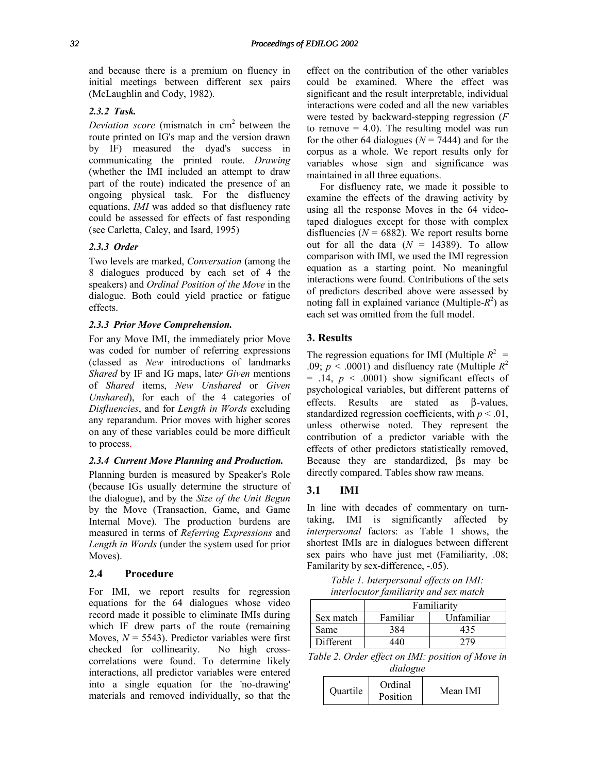and because there is a premium on fluency in initial meetings between different sex pairs (McLaughlin and Cody, 1982).

## *2.3.2 Task.*

Deviation score (mismatch in cm<sup>2</sup> between the route printed on IG's map and the version drawn by IF) measured the dyad's success in communicating the printed route. *Drawing*  (whether the IMI included an attempt to draw part of the route) indicated the presence of an ongoing physical task. For the disfluency equations, *IMI* was added so that disfluency rate could be assessed for effects of fast responding (see Carletta, Caley, and Isard, 1995)

## *2.3.3 Order*

Two levels are marked, *Conversation* (among the 8 dialogues produced by each set of 4 the speakers) and *Ordinal Position of the Move* in the dialogue. Both could yield practice or fatigue effects.

## *2.3.3 Prior Move Comprehension.*

For any Move IMI, the immediately prior Move was coded for number of referring expressions (classed as *New* introductions of landmarks *Shared* by IF and IG maps, late*r Given* mentions of *Shared* items, *New Unshared* or *Given Unshared*), for each of the 4 categories of *Disfluencies*, and for *Length in Words* excluding any reparandum. Prior moves with higher scores on any of these variables could be more difficult to process.

### *2.3.4 Current Move Planning and Production.*

Planning burden is measured by Speaker's Role (because IGs usually determine the structure of the dialogue), and by the *Size of the Unit Begun* by the Move (Transaction, Game, and Game Internal Move). The production burdens are measured in terms of *Referring Expressions* and *Length in Words* (under the system used for prior Moves).

# **2.4 Procedure**

For IMI, we report results for regression equations for the 64 dialogues whose video record made it possible to eliminate IMIs during which IF drew parts of the route (remaining Moves,  $N = 5543$ ). Predictor variables were first checked for collinearity. No high crosscorrelations were found. To determine likely interactions, all predictor variables were entered into a single equation for the 'no-drawing' materials and removed individually, so that the effect on the contribution of the other variables could be examined. Where the effect was significant and the result interpretable, individual interactions were coded and all the new variables were tested by backward-stepping regression (*F* to remove  $= 4.0$ ). The resulting model was run for the other 64 dialogues ( $N = 7444$ ) and for the corpus as a whole. We report results only for variables whose sign and significance was maintained in all three equations.

For disfluency rate, we made it possible to examine the effects of the drawing activity by using all the response Moves in the 64 videotaped dialogues except for those with complex disfluencies ( $N = 6882$ ). We report results borne out for all the data  $(N = 14389)$ . To allow comparison with IMI, we used the IMI regression equation as a starting point. No meaningful interactions were found. Contributions of the sets of predictors described above were assessed by noting fall in explained variance (Multiple- $R^2$ ) as each set was omitted from the full model.

# **3. Results**

The regression equations for IMI (Multiple  $R^2$  = .09;  $p < .0001$ ) and disfluency rate (Multiple  $R^2$ )  $=$  .14,  $p \le 0.0001$ ) show significant effects of psychological variables, but different patterns of effects. Results are stated as β-values, standardized regression coefficients, with  $p < .01$ , unless otherwise noted. They represent the contribution of a predictor variable with the effects of other predictors statistically removed, Because they are standardized, βs may be directly compared. Tables show raw means.

## **3.1 IMI**

In line with decades of commentary on turntaking, IMI is significantly affected by *interpersonal* factors: as Table 1 shows, the shortest IMIs are in dialogues between different sex pairs who have just met (Familiarity, .08; Familarity by sex-difference, -.05).

*Table 1. Interpersonal effects on IMI: interlocutor familiarity and sex match* 

|           | Familiarity            |     |  |  |
|-----------|------------------------|-----|--|--|
| Sex match | Familiar<br>Unfamiliar |     |  |  |
| Same      | 384                    | 435 |  |  |
| Different | 440                    |     |  |  |

*Table 2. Order effect on IMI: position of Move in dialogue* 

| Quartile | Ordinal<br>Position | Mean IMI |
|----------|---------------------|----------|
|----------|---------------------|----------|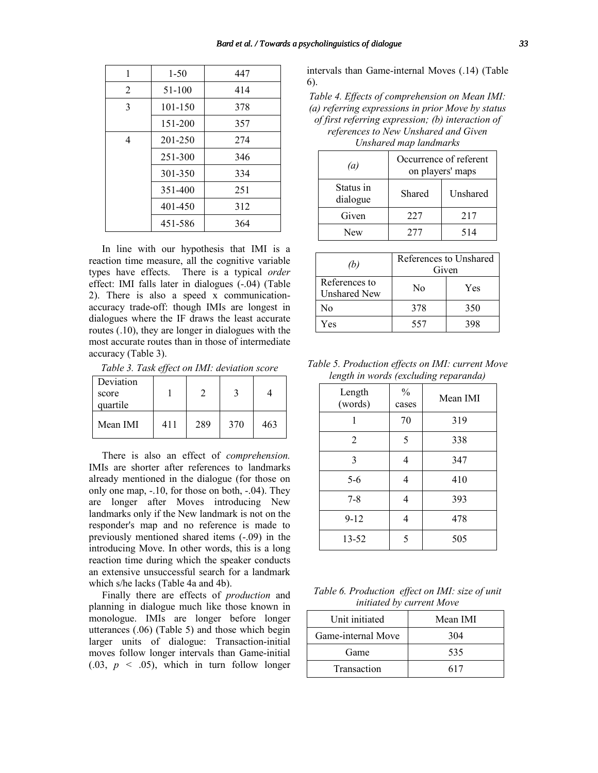| 1              | $1 - 50$ | 447 |
|----------------|----------|-----|
| $\overline{2}$ | 51-100   | 414 |
| 3              | 101-150  | 378 |
|                | 151-200  | 357 |
| 4              | 201-250  | 274 |
|                | 251-300  | 346 |
|                | 301-350  | 334 |
|                | 351-400  | 251 |
|                | 401-450  | 312 |
|                | 451-586  | 364 |

In line with our hypothesis that IMI is a reaction time measure, all the cognitive variable types have effects. There is a typical *order* effect: IMI falls later in dialogues (-.04) (Table 2). There is also a speed x communicationaccuracy trade-off: though IMIs are longest in dialogues where the IF draws the least accurate routes (.10), they are longer in dialogues with the most accurate routes than in those of intermediate accuracy (Table 3).

*Table 3. Task effect on IMI: deviation score* 

| Deviation<br>score<br>quartile |     |     |     |     |
|--------------------------------|-----|-----|-----|-----|
| Mean IMI                       | 411 | 289 | 370 | 463 |

There is also an effect of *comprehension.* IMIs are shorter after references to landmarks already mentioned in the dialogue (for those on only one map, -.10, for those on both, -.04). They are longer after Moves introducing New landmarks only if the New landmark is not on the responder's map and no reference is made to previously mentioned shared items (-.09) in the introducing Move. In other words, this is a long reaction time during which the speaker conducts an extensive unsuccessful search for a landmark which s/he lacks (Table 4a and 4b).

Finally there are effects of *production* and planning in dialogue much like those known in monologue. IMIs are longer before longer utterances (.06) (Table 5) and those which begin larger units of dialogue: Transaction-initial moves follow longer intervals than Game-initial  $(0.03, p \le 0.05)$ , which in turn follow longer

intervals than Game-internal Moves (.14) (Table 6).

*Table 4. Effects of comprehension on Mean IMI: (a) referring expressions in prior Move by status of first referring expression; (b) interaction of references to New Unshared and Given* 

*Unshared map landmarks*

| $\left(a\right)$      | Occurrence of referent<br>on players' maps |     |
|-----------------------|--------------------------------------------|-----|
| Status in<br>dialogue | Unshared<br>Shared                         |     |
| Given                 | 227                                        | 217 |
| New                   | 277                                        | 514 |

| (b)                                  | References to Unshared<br>Given |     |
|--------------------------------------|---------------------------------|-----|
| References to<br><b>Unshared New</b> | No.                             | Yes |
| No                                   | 378                             | 350 |
| Yes                                  | 557                             | 398 |

*Table 5. Production effects on IMI: current Move length in words (excluding reparanda)* 

| Length<br>(words) | $\frac{0}{0}$<br>cases | Mean IMI |
|-------------------|------------------------|----------|
|                   | 70                     | 319      |
| $\overline{2}$    | 5                      | 338      |
| 3                 |                        | 347      |
| $5 - 6$           |                        | 410      |
| $7 - 8$           |                        | 393      |
| $9 - 12$          |                        | 478      |
| 13-52             | 5                      | 505      |

*Table 6. Production effect on IMI: size of unit initiated by current Move* 

| Unit initiated     | Mean IMI |
|--------------------|----------|
| Game-internal Move | 304      |
| Game               | 535      |
| Transaction        | 617      |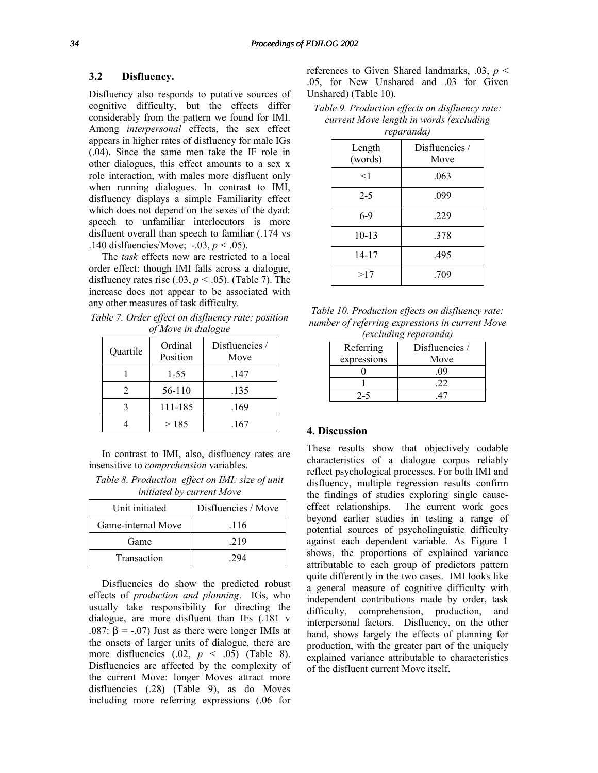# **3.2 Disfluency.**

Disfluency also responds to putative sources of cognitive difficulty, but the effects differ considerably from the pattern we found for IMI. Among *interpersonal* effects, the sex effect appears in higher rates of disfluency for male IGs (.04)**.** Since the same men take the IF role in other dialogues, this effect amounts to a sex x role interaction, with males more disfluent only when running dialogues. In contrast to IMI, disfluency displays a simple Familiarity effect which does not depend on the sexes of the dyad: speech to unfamiliar interlocutors is more disfluent overall than speech to familiar (.174 vs .140 dislfuencies/Move; -.03, *p <* .05).

The *task* effects now are restricted to a local order effect: though IMI falls across a dialogue, disfluency rates rise  $(.03, p \le .05)$ . (Table 7). The increase does not appear to be associated with any other measures of task difficulty.

*Table 7. Order effect on disfluency rate: position of Move in dialogue* 

| Quartile | Ordinal<br>Position | Disfluencies /<br>Move |
|----------|---------------------|------------------------|
|          | $1 - 55$            | .147                   |
|          | 56-110              | .135                   |
|          | 111-185             | .169                   |
|          | >185                | .167                   |

In contrast to IMI, also, disfluency rates are insensitive to *comprehension* variables.

*Table 8. Production effect on IMI: size of unit initiated by current Move* 

| Unit initiated     | Disfluencies / Move |
|--------------------|---------------------|
| Game-internal Move | .116                |
| Game               | 219                 |
| Transaction        |                     |

Disfluencies do show the predicted robust effects of *production and planning*. IGs, who usually take responsibility for directing the dialogue, are more disfluent than IFs (.181 v .087:  $\beta$  = -.07) Just as there were longer IMIs at the onsets of larger units of dialogue, there are more disfluencies (.02, *p* < .05) (Table 8). Disfluencies are affected by the complexity of the current Move: longer Moves attract more disfluencies (.28) (Table 9), as do Moves including more referring expressions (.06 for

references to Given Shared landmarks, .03, *p* < .05, for New Unshared and .03 for Given Unshared) (Table 10).

*Table 9. Production effects on disfluency rate: current Move length in words (excluding reparanda)* 

| ı                 |                        |
|-------------------|------------------------|
| Length<br>(words) | Disfluencies /<br>Move |
| $<$ 1             | .063                   |
| $2 - 5$           | .099                   |
| $6-9$             | .229                   |
| $10 - 13$         | .378                   |
| 14-17             | .495                   |
| >17               | .709                   |

| Table 10. Production effects on disfluency rate: |
|--------------------------------------------------|
| number of referring expressions in current Move  |
| <i>(excluding reparanda)</i>                     |

| Referring   | Disfluencies / |
|-------------|----------------|
| expressions | Move           |
|             | 09             |
|             |                |
| 2-5         |                |

## **4. Discussion**

These results show that objectively codable characteristics of a dialogue corpus reliably reflect psychological processes. For both IMI and disfluency, multiple regression results confirm the findings of studies exploring single causeeffect relationships. The current work goes beyond earlier studies in testing a range of potential sources of psycholinguistic difficulty against each dependent variable. As Figure 1 shows, the proportions of explained variance attributable to each group of predictors pattern quite differently in the two cases. IMI looks like a general measure of cognitive difficulty with independent contributions made by order, task difficulty, comprehension, production, and interpersonal factors. Disfluency, on the other hand, shows largely the effects of planning for production, with the greater part of the uniquely explained variance attributable to characteristics of the disfluent current Move itself.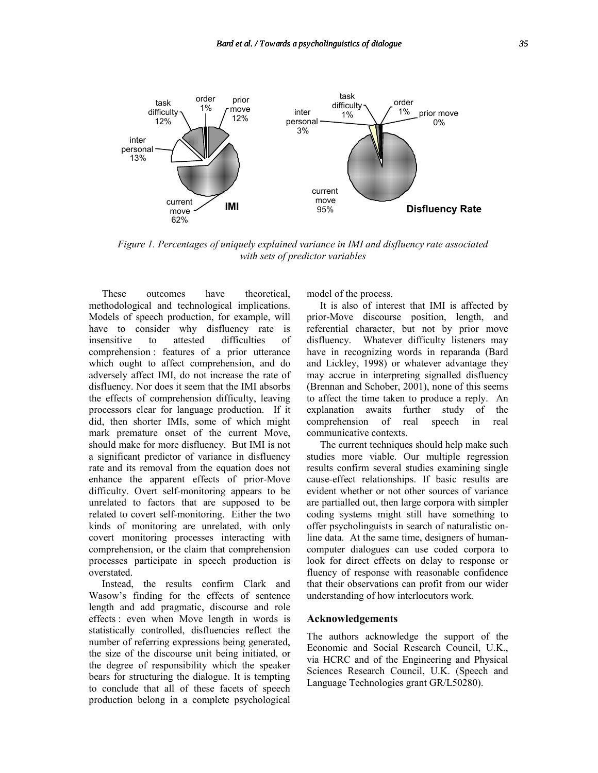

*Figure 1. Percentages of uniquely explained variance in IMI and disfluency rate associated with sets of predictor variables* 

These outcomes have theoretical, methodological and technological implications. Models of speech production, for example, will have to consider why disfluency rate is insensitive to attested difficulties of comprehension : features of a prior utterance which ought to affect comprehension, and do adversely affect IMI, do not increase the rate of disfluency. Nor does it seem that the IMI absorbs the effects of comprehension difficulty, leaving processors clear for language production. If it did, then shorter IMIs, some of which might mark premature onset of the current Move, should make for more disfluency. But IMI is not a significant predictor of variance in disfluency rate and its removal from the equation does not enhance the apparent effects of prior-Move difficulty. Overt self-monitoring appears to be unrelated to factors that are supposed to be related to covert self-monitoring. Either the two kinds of monitoring are unrelated, with only covert monitoring processes interacting with comprehension, or the claim that comprehension processes participate in speech production is overstated.

Instead, the results confirm Clark and Wasow's finding for the effects of sentence length and add pragmatic, discourse and role effects : even when Move length in words is statistically controlled, disfluencies reflect the number of referring expressions being generated, the size of the discourse unit being initiated, or the degree of responsibility which the speaker bears for structuring the dialogue. It is tempting to conclude that all of these facets of speech production belong in a complete psychological

model of the process.

It is also of interest that IMI is affected by prior-Move discourse position, length, and referential character, but not by prior move disfluency. Whatever difficulty listeners may have in recognizing words in reparanda (Bard and Lickley, 1998) or whatever advantage they may accrue in interpreting signalled disfluency (Brennan and Schober, 2001), none of this seems to affect the time taken to produce a reply. An explanation awaits further study of the comprehension of real speech in real communicative contexts.

The current techniques should help make such studies more viable. Our multiple regression results confirm several studies examining single cause-effect relationships. If basic results are evident whether or not other sources of variance are partialled out, then large corpora with simpler coding systems might still have something to offer psycholinguists in search of naturalistic online data. At the same time, designers of humancomputer dialogues can use coded corpora to look for direct effects on delay to response or fluency of response with reasonable confidence that their observations can profit from our wider understanding of how interlocutors work.

#### **Acknowledgements**

The authors acknowledge the support of the Economic and Social Research Council, U.K., via HCRC and of the Engineering and Physical Sciences Research Council, U.K. (Speech and Language Technologies grant GR/L50280).